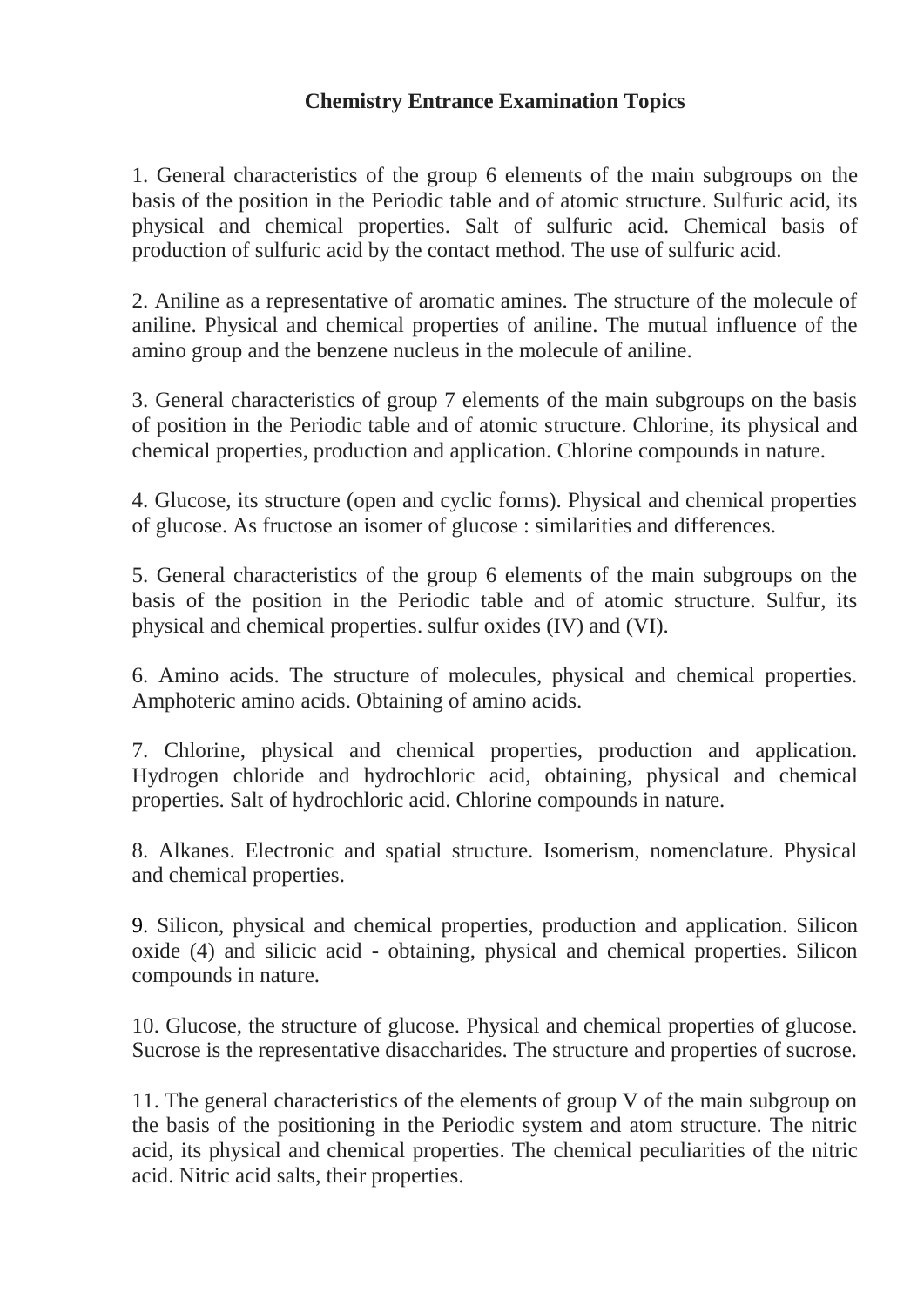## **Chemistry Entrance Examination Topics**

1. General characteristics of the group 6 elements of the main subgroups on the basis of the position in the Periodic table and of atomic structure. Sulfuric acid, its physical and chemical properties. Salt of sulfuric acid. Chemical basis of production of sulfuric acid by the contact method. The use of sulfuric acid.

2. Aniline as a representative of aromatic amines. The structure of the molecule of aniline. Physical and chemical properties of aniline. The mutual influence of the amino group and the benzene nucleus in the molecule of aniline.

3. General characteristics of group 7 elements of the main subgroups on the basis of position in the Periodic table and of atomic structure. Chlorine, its physical and chemical properties, production and application. Chlorine compounds in nature.

4. Glucose, its structure (open and cyclic forms). Physical and chemical properties of glucose. As fructose an isomer of glucose : similarities and differences.

5. General characteristics of the group 6 elements of the main subgroups on the basis of the position in the Periodic table and of atomic structure. Sulfur, its physical and chemical properties. sulfur oxides (IV) and (VI).

6. Amino acids. The structure of molecules, physical and chemical properties. Amphoteric amino acids. Obtaining of amino acids.

7. Chlorine, physical and chemical properties, production and application. Hydrogen chloride and hydrochloric acid, obtaining, physical and chemical properties. Salt of hydrochloric acid. Chlorine compounds in nature.

8. Alkanes. Electronic and spatial structure. Isomerism, nomenclature. Physical and chemical properties.

9. Silicon, physical and chemical properties, production and application. Silicon oxide (4) and silicic acid - obtaining, physical and chemical properties. Silicon compounds in nature.

10. Glucose, the structure of glucose. Physical and chemical properties of glucose. Sucrose is the representative disaccharides. The structure and properties of sucrose.

11. The general characteristics of the elements of group V of the main subgroup on the basis of the positioning in the Periodic system and atom structure. The nitric acid, its physical and chemical properties. The chemical peculiarities of the nitric acid. Nitric acid salts, their properties.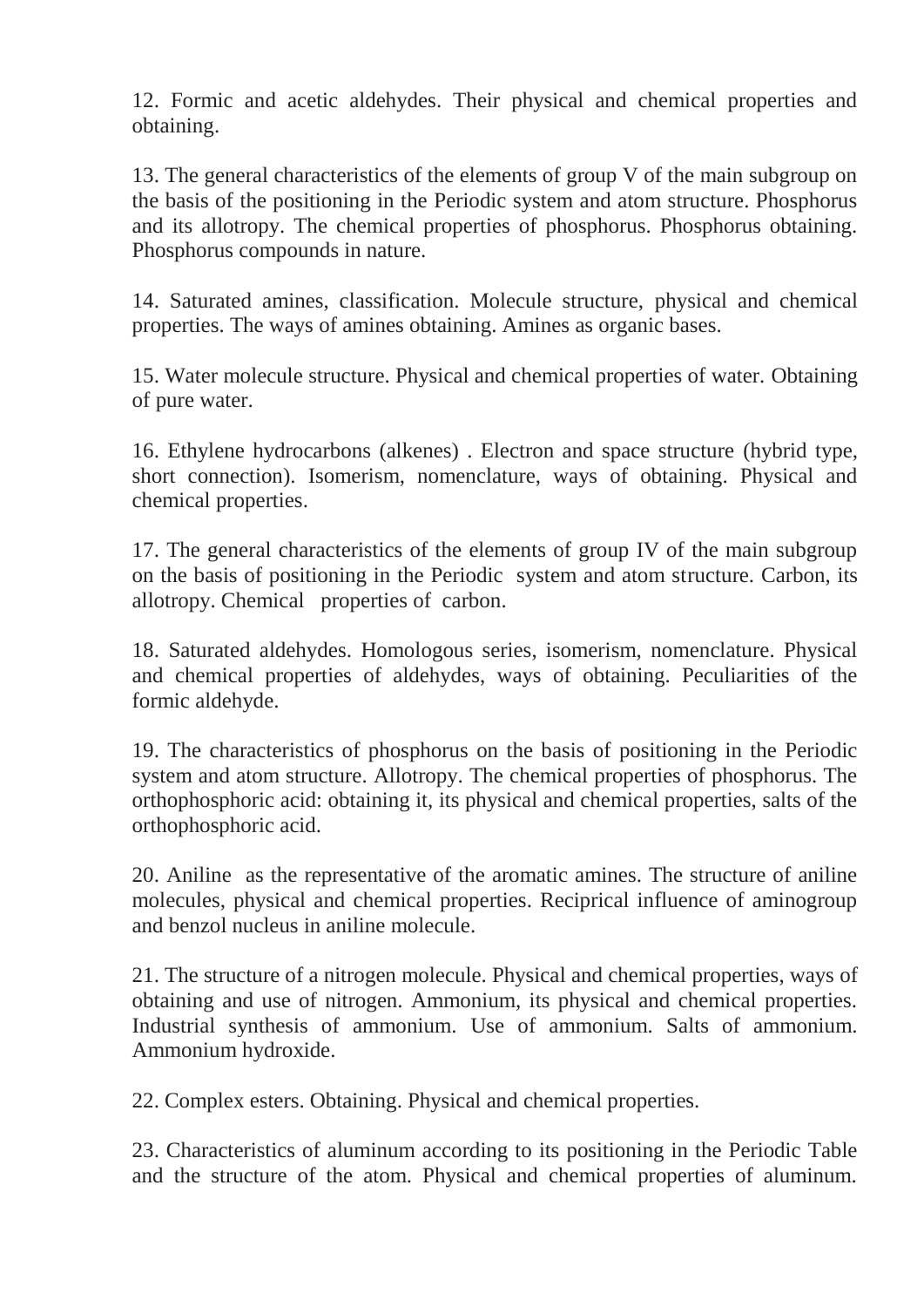12. Formic and acetic aldehydes. Their physical and chemical properties and obtaining.

13. The general characteristics of the elements of group V of the main subgroup on the basis of the positioning in the Periodic system and atom structure. Phosphorus and its allotropy. The chemical properties of phosphorus. Phosphorus obtaining. Phosphorus compounds in nature.

14. Saturated amines, classification. Molecule structure, physical and chemical properties. The ways of amines obtaining. Amines as organic bases.

15. Water molecule structure. Physical and chemical properties of water. Obtaining of pure water.

16. Ethylene hydrocarbons (alkenes) . Electron and space structure (hybrid type, short connection). Isomerism, nomenclature, ways of obtaining. Physical and chemical properties.

17. The general characteristics of the elements of group IV of the main subgroup on the basis of positioning in the Periodic system and atom structure. Carbon, its allotropy. Chemical properties of carbon.

18. Saturated aldehydes. Homologous series, isomerism, nomenclature. Physical and chemical properties of aldehydes, ways of obtaining. Peculiarities of the formic aldehyde.

19. The characteristics of phosphorus on the basis of positioning in the Periodic system and atom structure. Allotropy. The chemical properties of phosphorus. The orthophosphoric acid: obtaining it, its physical and chemical properties, salts of the orthophosphoric acid.

20. Aniline as the representative of the aromatic amines. The structure of aniline molecules, physical and chemical properties. Reciprical influence of aminogroup and benzol nucleus in aniline molecule.

21. The structure of a nitrogen molecule. Physical and chemical properties, ways of obtaining and use of nitrogen. Ammonium, its physical and chemical properties. Industrial synthesis of ammonium. Use of ammonium. Salts of ammonium. Ammonium hydroxide.

22. Complex esters. Obtaining. Physical and chemical properties.

23. Characteristics of aluminum according to its positioning in the Periodic Table and the structure of the atom. Physical and chemical properties of aluminum.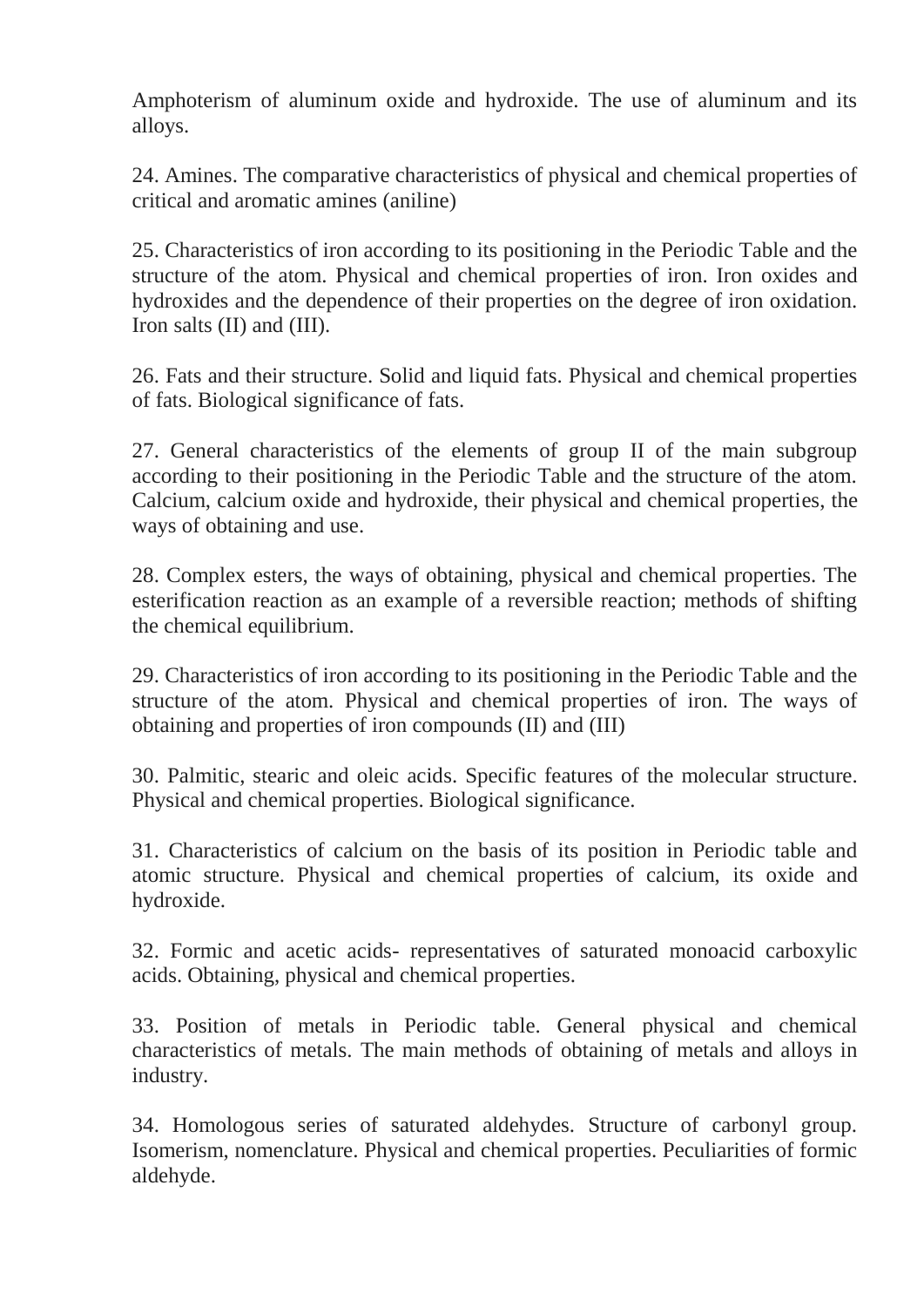Amphoterism of aluminum oxide and hydroxide. The use of aluminum and its alloys.

24. Amines. The comparative characteristics of physical and chemical properties of critical and aromatic amines (aniline)

25. Characteristics of iron according to its positioning in the Periodic Table and the structure of the atom. Physical and chemical properties of iron. Iron oxides and hydroxides and the dependence of their properties on the degree of iron oxidation. Iron salts (II) and (III).

26. Fats and their structure. Solid and liquid fats. Physical and chemical properties of fats. Biological significance of fats.

27. General characteristics of the elements of group II of the main subgroup according to their positioning in the Periodic Table and the structure of the atom. Calcium, calcium oxide and hydroxide, their physical and chemical properties, the ways of obtaining and use.

28. Complex esters, the ways of obtaining, physical and chemical properties. The esterification reaction as an example of a reversible reaction; methods of shifting the chemical equilibrium.

29. Characteristics of iron according to its positioning in the Periodic Table and the structure of the atom. Physical and chemical properties of iron. The ways of obtaining and properties of iron compounds (II) and (III)

30. Palmitic, stearic and oleic acids. Specific features of the molecular structure. Physical and chemical properties. Biological significance.

31. Characteristics of calcium on the basis of its position in Periodic table and atomic structure. Physical and chemical properties of calcium, its oxide and hydroxide.

32. Formic and acetic acids- representatives of saturated monoacid carboxylic acids. Obtaining, physical and chemical properties.

33. Position of metals in Periodic table. General physical and chemical characteristics of metals. The main methods of obtaining of metals and alloys in industry.

34. Homologous series of saturated aldehydes. Structure of carbonyl group. Isomerism, nomenclature. Physical and chemical properties. Peculiarities of formic aldehyde.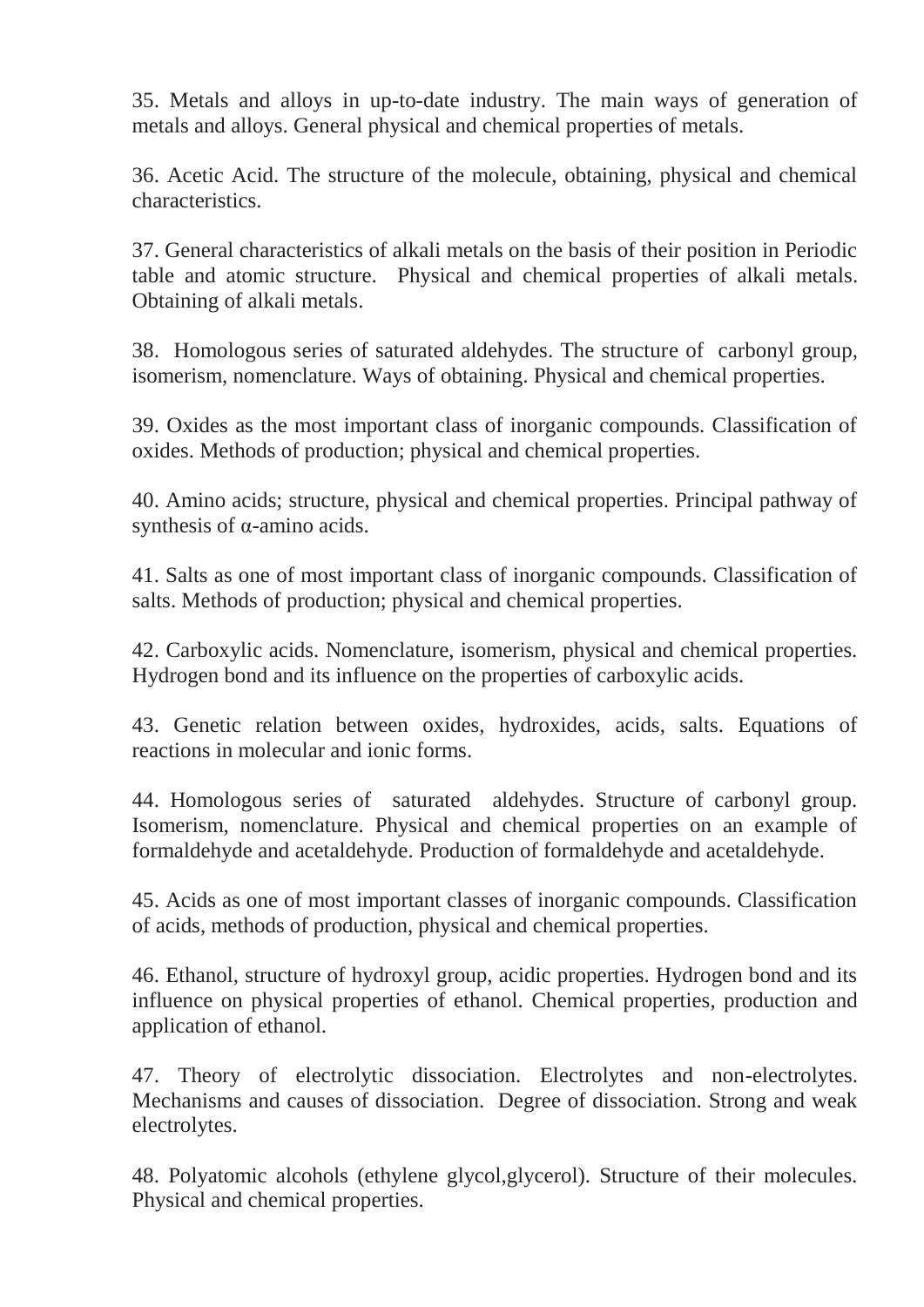35. Metals and alloys in up-to-date industry. The main ways of generation of metals and alloys. General physical and chemical properties of metals.

36. Acetic Acid. The structure of the molecule, obtaining, physical and chemical characteristics.

37. General characteristics of alkali metals on the basis of their position in Periodic table and atomic structure. Physical and chemical properties of alkali metals. Obtaining of alkali metals.

38. Homologous series of saturated aldehydes. The structure of carbonyl group, isomerism, nomenclature. Ways of obtaining. Physical and chemical properties.

39. Oxides as the most important class of inorganic compounds. Classification of oxides. Methods of production; physical and chemical properties.

40. Amino acids; structure, physical and chemical properties. Principal pathway of synthesis of α-amino acids.

41. Salts as one of most important class of inorganic compounds. Classification of salts. Methods of production; physical and chemical properties.

42. Carboxylic acids. Nomenclature, isomerism, physical and chemical properties. Hydrogen bond and its influence on the properties of carboxylic acids.

43. Genetic relation between oxides, hydroxides, acids, salts. Equations of reactions in molecular and ionic forms.

44. Homologous series of saturated aldehydes. Structure of carbonyl group. Isomerism, nomenclature. Physical and chemical properties on an example of formaldehyde and acetaldehyde. Production of formaldehyde and acetaldehyde.

45. Acids as one of most important classes of inorganic compounds. Classification of acids, methods of production, physical and chemical properties.

46. Ethanol, structure of hydroxyl group, acidic properties. Hydrogen bond and its influence on physical properties of ethanol. Chemical properties, production and application of ethanol.

47. Theory of electrolytic dissociation. Electrolytes and non-electrolytes. Mechanisms and causes of dissociation. Degree of dissociation. Strong and weak electrolytes.

48. Polyatomic alcohols (ethylene glycol,glycerol). Structure of their molecules. Physical and chemical properties.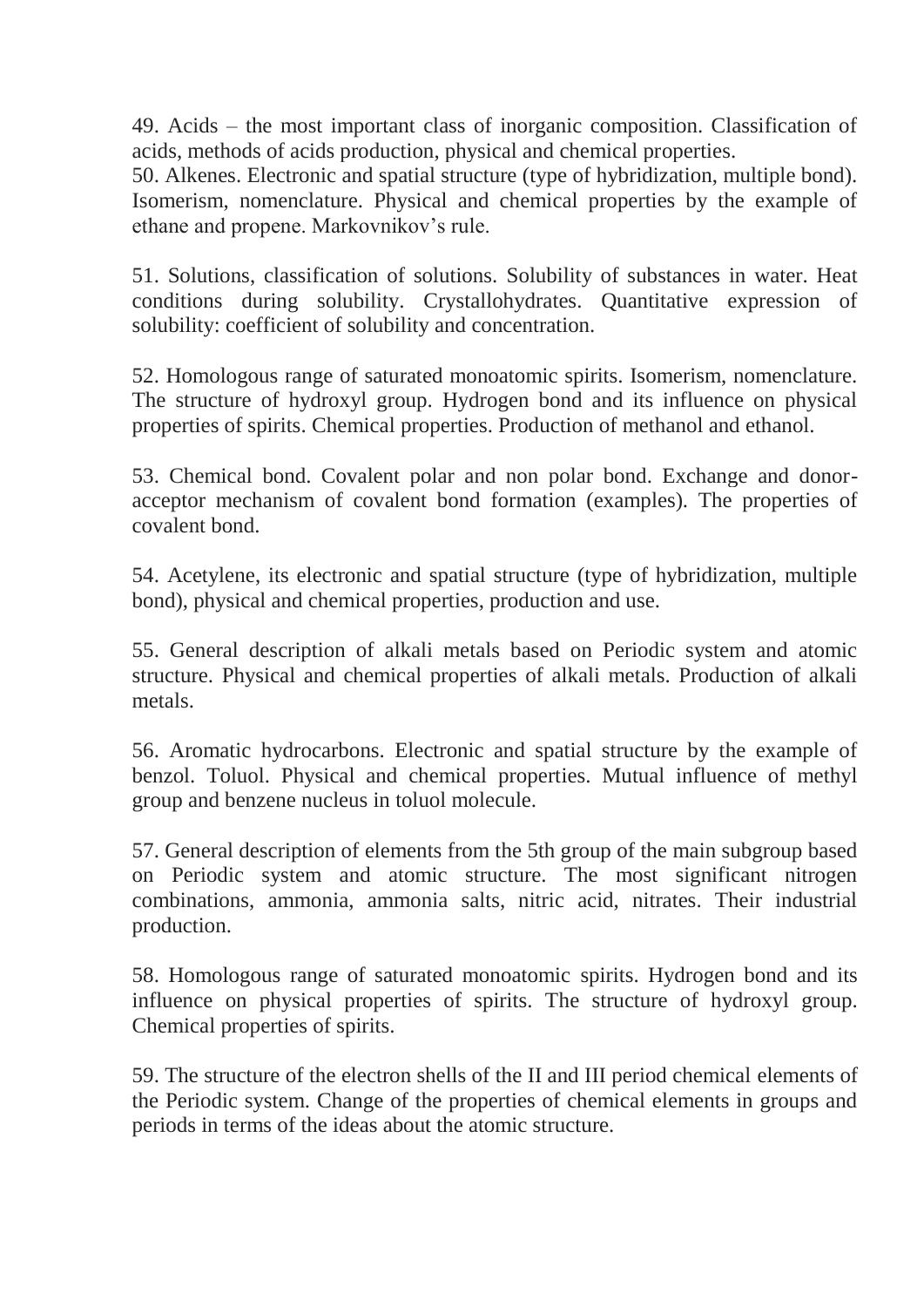49. Acids – the most important class of inorganic composition. Classification of acids, methods of acids production, physical and chemical properties.

50. Alkenes. Electronic and spatial structure (type of hybridization, multiple bond). Isomerism, nomenclature. Physical and chemical properties by the example of ethane and propene. Markovnikov's rule.

51. Solutions, classification of solutions. Solubility of substances in water. Heat conditions during solubility. Crystallohydrates. Quantitative expression of solubility: coefficient of solubility and concentration.

52. Homologous range of saturated monoatomic spirits. Isomerism, nomenclature. The structure of hydroxyl group. Hydrogen bond and its influence on physical properties of spirits. Chemical properties. Production of methanol and ethanol.

53. Chemical bond. Covalent polar and non polar bond. Exchange and donoracceptor mechanism of covalent bond formation (examples). The properties of covalent bond.

54. Acetylene, its electronic and spatial structure (type of hybridization, multiple bond), physical and chemical properties, production and use.

55. General description of alkali metals based on Periodic system and atomic structure. Physical and chemical properties of alkali metals. Production of alkali metals.

56. Aromatic hydrocarbons. Electronic and spatial structure by the example of benzol. Toluol. Physical and chemical properties. Mutual influence of methyl group and benzene nucleus in toluol molecule.

57. General description of elements from the 5th group of the main subgroup based on Periodic system and atomic structure. The most significant nitrogen combinations, ammonia, ammonia salts, nitric acid, nitrates. Their industrial production.

58. Homologous range of saturated monoatomic spirits. Hydrogen bond and its influence on physical properties of spirits. The structure of hydroxyl group. Chemical properties of spirits.

59. The structure of the electron shells of the II and III period chemical elements of the Periodic system. Change of the properties of chemical elements in groups and periods in terms of the ideas about the atomic structure.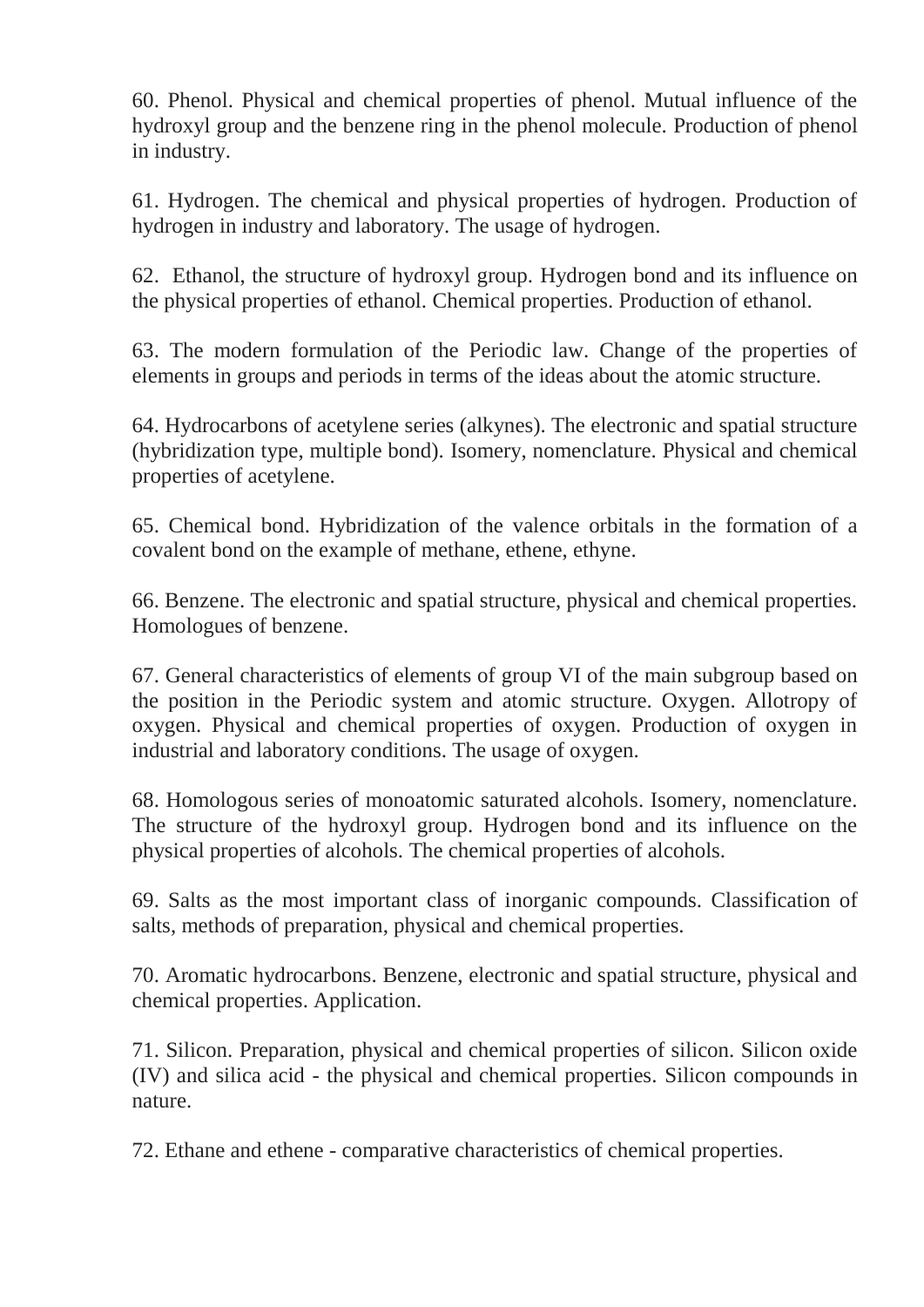60. Phenol. Physical and chemical properties of phenol. Mutual influence of the hydroxyl group and the benzene ring in the phenol molecule. Production of phenol in industry.

61. Hydrogen. The chemical and physical properties of hydrogen. Production of hydrogen in industry and laboratory. The usage of hydrogen.

62. Ethanol, the structure of hydroxyl group. Hydrogen bond and its influence on the physical properties of ethanol. Chemical properties. Production of ethanol.

63. The modern formulation of the Periodic law. Change of the properties of elements in groups and periods in terms of the ideas about the atomic structure.

64. Hydrocarbons of acetylene series (alkynes). The electronic and spatial structure (hybridization type, multiple bond). Isomery, nomenclature. Physical and chemical properties of acetylene.

65. Chemical bond. Hybridization of the valence orbitals in the formation of a covalent bond on the example of methane, ethene, ethyne.

66. Benzene. The electronic and spatial structure, physical and chemical properties. Homologues of benzene.

67. General characteristics of elements of group VI of the main subgroup based on the position in the Periodic system and atomic structure. Oxygen. Allotropy of oxygen. Physical and chemical properties of oxygen. Production of oxygen in industrial and laboratory conditions. The usage of oxygen.

68. Homologous series of monoatomic saturated alcohols. Isomery, nomenclature. The structure of the hydroxyl group. Hydrogen bond and its influence on the physical properties of alcohols. The chemical properties of alcohols.

69. Salts as the most important class of inorganic compounds. Classification of salts, methods of preparation, physical and chemical properties.

70. Aromatic hydrocarbons. Benzene, electronic and spatial structure, physical and chemical properties. Application.

71. Silicon. Preparation, physical and chemical properties of silicon. Silicon oxide (IV) and silica acid - the physical and chemical properties. Silicon compounds in nature.

72. Ethane and ethene - comparative characteristics of chemical properties.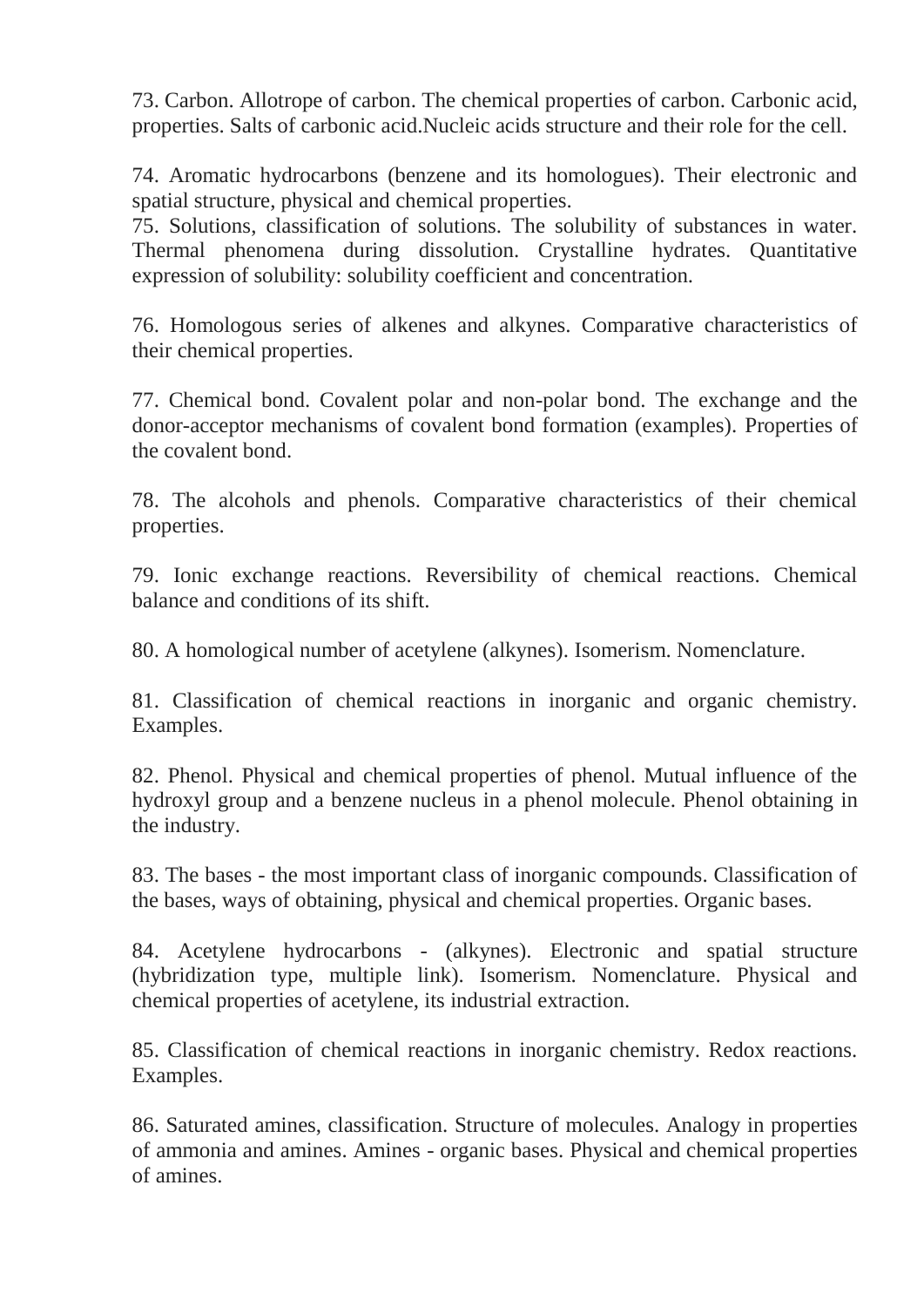73. Carbon. Allotrope of carbon. The chemical properties of carbon. Carbonic acid, properties. Salts of carbonic acid.Nucleic acids structure and their role for the cell.

74. Aromatic hydrocarbons (benzene and its homologues). Their electronic and spatial structure, physical and chemical properties.

75. Solutions, classification of solutions. The solubility of substances in water. Thermal phenomena during dissolution. Crystalline hydrates. Quantitative expression of solubility: solubility coefficient and concentration.

76. Homologous series of alkenes and alkynes. Comparative characteristics of their chemical properties.

77. Chemical bond. Covalent polar and non-polar bond. The exchange and the donor-acceptor mechanisms of covalent bond formation (examples). Properties of the covalent bond.

78. The alcohols and phenols. Comparative characteristics of their chemical properties.

79. Ionic exchange reactions. Reversibility of chemical reactions. Chemical balance and conditions of its shift.

80. A homological number of acetylene (alkynes). Isomerism. Nomenclature.

81. Classification of chemical reactions in inorganic and organic chemistry. Examples.

82. Phenol. Physical and chemical properties of phenol. Mutual influence of the hydroxyl group and a benzene nucleus in a phenol molecule. Phenol obtaining in the industry.

83. The bases - the most important class of inorganic compounds. Classification of the bases, ways of obtaining, physical and chemical properties. Organic bases.

84. Acetylene hydrocarbons - (alkynes). Electronic and spatial structure (hybridization type, multiple link). Isomerism. Nomenclature. Physical and chemical properties of acetylene, its industrial extraction.

85. Classification of chemical reactions in inorganic chemistry. Redox reactions. Examples.

86. Saturated amines, classification. Structure of molecules. Analogy in properties of ammonia and amines. Amines - organic bases. Physical and chemical properties of amines.